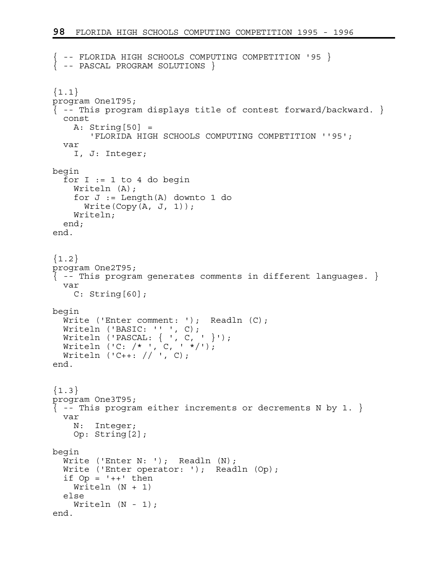```
{ -- FLORIDA HIGH SCHOOLS COMPUTING COMPETITION '95 } 
{ -- PASCAL PROGRAM SOLUTIONS } 
{1.1}program One1T95; 
\{ -- This program displays title of contest forward/backward. \} const 
     A: String[50] = 
        'FLORIDA HIGH SCHOOLS COMPUTING COMPETITION ''95'; 
   var 
     I, J: Integer; 
begin 
  for I := 1 to 4 do begin
    Writeln (A);
     for J := Length(A) downto 1 do 
       Write(Copy(A, J, 1)); 
     Writeln; 
   end; 
end. 
{1.2}program One2T95; 
{ -- This program generates comments in different languages. } 
   var 
     C: String[60]; 
begin 
  Write ('Enter comment: '); Readln (C);
   Writeln ('BASIC: '' ', C); 
 Writeln ('PASCAL: { ', C, ' }'); 
 Writeln ('C: /* ', C, ' */'); 
 Writeln ('C++: // ', C); 
end. 
{1.3}program One3T95; 
\{ - - This program either increments or decrements N by 1. \} var 
     N: Integer; 
     Op: String[2]; 
begin 
  Write ('Enter N: '); Readln (N);
  Write ('Enter operator: '); Readln (Op);
  if Op = '++' then
     Writeln (N + 1) 
   else 
    Writeln (N - 1);
end.
```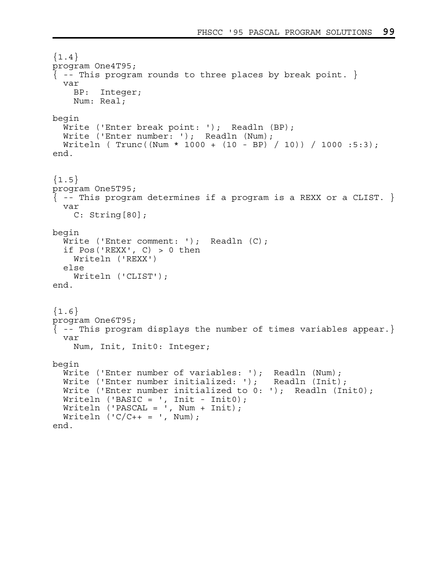```
{1.4}program One4T95; 
\{ -- This program rounds to three places by break point. \} var 
     BP: Integer; 
     Num: Real; 
begin 
  Write ('Enter break point: '); Readln (BP);
  Write ('Enter number: '); Readln (Num);
   Writeln ( Trunc((Num * 1000 + (10 - BP) / 10)) / 1000 :5:3); 
end. 
{1.5}program One5T95; 
\{ -- This program determines if a program is a REXX or a CLIST. \} var 
     C: String[80]; 
begin 
  Write ('Enter comment: '); Readln (C);
  if Pos('REXX', C) > 0 then
     Writeln ('REXX') 
   else 
    Writeln ('CLIST'); 
end. 
{1.6}program One6T95; 
{ -- This program displays the number of times variables appear.} 
   var 
     Num, Init, Init0: Integer; 
begin 
Write ('Enter number of variables: '); Readln (Num);
 Write ('Enter number initialized: '); Readln (Init); 
  Write ('Enter number initialized to 0: '); Readln (Init0);
  Writeln ('BASIC = ', Init - Init0);
   Writeln ('PASCAL = ', Num + Init); 
  Writeln ('C/C++ = ', Num);end.
```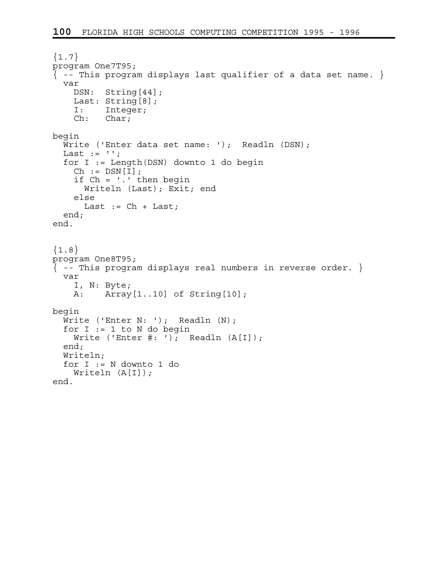```
{1.7}program One7T95; 
\{ -- This program displays last qualifier of a data set name. \} var 
     DSN: String[44]; 
     Last: String[8]; 
     I: Integer; 
     Ch: Char; 
begin 
  Write ('Enter data set name: '); Readln (DSN);
  Last := ';
   for I := Length(DSN) downto 1 do begin 
    Ch := DSN[I]; if Ch = '.' then begin 
       Writeln (Last); Exit; end 
     else 
     Last := Ch + Last;
   end; 
end. 
{1.8}program One8T95; 
{ -- This program displays real numbers in reverse order. } 
   var 
     I, N: Byte; 
     A: Array[1..10] of String[10]; 
begin 
  Write ('Enter N: '); Readln (N);
  for I := 1 to N do begin
    Write ('Enter \#: '); Readln (A[I]);
   end; 
   Writeln; 
   for I := N downto 1 do 
    Writeln (A[I]); 
end.
```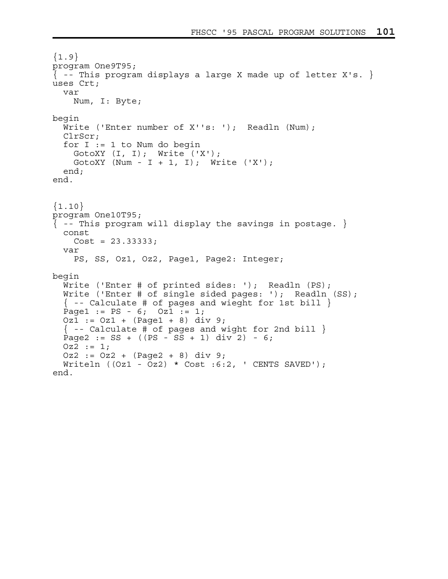```
{1.9}program One9T95; 
{ -- This program displays a large X made up of letter X's. } 
uses Crt; 
   var 
     Num, I: Byte; 
begin 
  Write ('Enter number of X''s: '); Readln (Num);
   ClrScr; 
  for I := 1 to Num do begin
     GotoXY (I, I); Write ('X'); 
    GotoXY (Num - I + 1, I); Write ('X');
   end; 
end. 
{1.10}program One10T95; 
{ -- This program will display the savings in postage. } 
   const 
    Cost = 23.33333; var 
     PS, SS, Oz1, Oz2, Page1, Page2: Integer; 
begin 
  Write ('Enter # of printed sides: '); Readln (PS);
  Write ('Enter # of single sided pages: '); Readln (SS);
  \{ - - Calculate # of pages and wieght for 1st bill \}Page1 := PS - 6; Oz1 := 1;
  Oz1 := Oz1 + (Page1 + 8) div 9;
  \{ - - Calculate # of pages and wight for 2nd bill \}Page2 := SS + ((PS - SS + 1) div 2) - 6;Oz2 := 1;Oz2 := Oz2 + (Page2 + 8) div 9;Writeln ((Oz1 - Oz2) * Cost : 6:2, ' CENTS SAVED');end.
```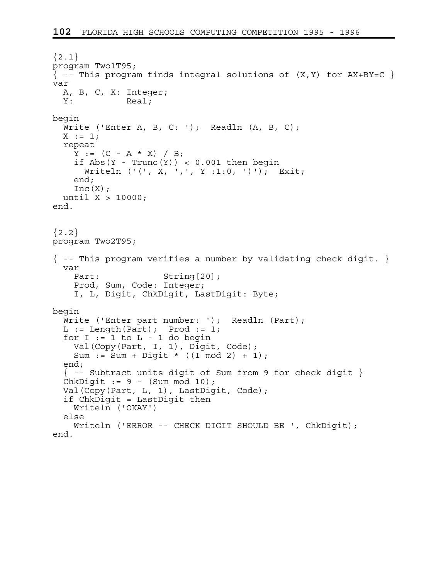```
{2.1}program Two1T95; 
\{ -- This program finds integral solutions of (X, Y) for AX+BY=C \}var 
   A, B, C, X: Integer; 
  Y: Real;
begin 
  Write ('Enter A, B, C: '); Readln (A, B, C);
  X := 1; repeat 
    Y := (C - A * X) / B;if Abs(Y - Trunc(Y)) < 0.001 then begin
       Writeln ('(', X, ',', Y :1:0, ')'); Exit; 
     end; 
    Inc(X);
   until X > 10000; 
end. 
{2.2}program Two2T95; 
\{ -- This program verifies a number by validating check digit. \} var 
    Part: String[20];
     Prod, Sum, Code: Integer; 
     I, L, Digit, ChkDigit, LastDigit: Byte; 
begin 
  Write ('Enter part number: '); Readln (Part);
  L := Length(Part); Prod := 1;
 for I := 1 to L - 1 do begin 
 Val(Copy(Part, I, 1), Digit, Code); 
    Sum := Sum + Digit * ((I \mod 2) + 1);
   end; 
  \{ - - Subtract units digit of Sum from 9 for check digit \}ChkDigit := 9 - (Sum mod 10);
  Val(Copy(Part, L, 1), LastDigit, Code);
   if ChkDigit = LastDigit then 
    Writeln ('OKAY') 
   else 
     Writeln ('ERROR -- CHECK DIGIT SHOULD BE ', ChkDigit); 
end.
```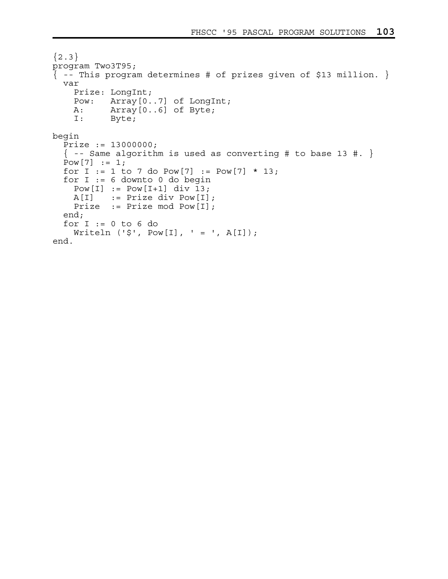```
{2.3}program Two3T95; 
\{ -- This program determines # of prizes given of $13 million. \} var 
     Prize: LongInt; 
     Pow: Array[0..7] of LongInt; 
     A: Array[0..6] of Byte; 
     I: Byte; 
begin 
  Prize := 130000000;\{ - - Same algorithm is used as converting # to base 13 #. \}Pow[7] := 1;for I := 1 to 7 do Pow[7] := Pow[7] * 13; for I := 6 downto 0 do begin 
    Pow[I] := Pow[I+1] div 13;
    A[I] := Prize div Pow[I];
    Prize := Prize mod Pow[I]; 
   end; 
  for I := 0 to 6 do
    WriteIn ('$', Pow[I], ' = ', A[I]);end.
```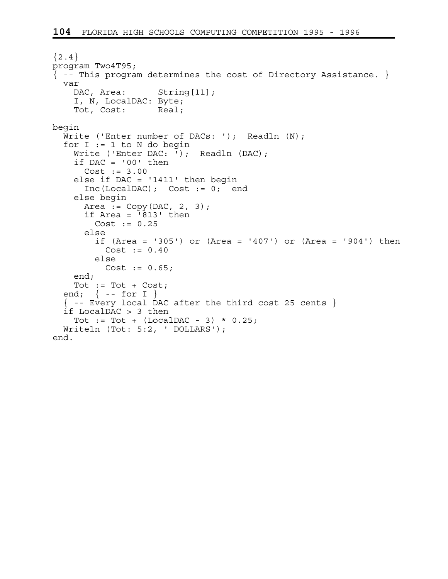```
{2.4}program Two4T95; 
\{ -- This program determines the cost of Directory Assistance. \} var 
    DAC, Area: String[11];
     I, N, LocalDAC: Byte; 
     Tot, Cost: Real; 
begin 
  Write ('Enter number of DACs: '); Readln (N);
  for I := 1 to N do begin
    Write ('Enter DAC: '); Readln (DAC);
     if DAC = '00' then 
     Cost := 3.00 else if DAC = '1411' then begin 
       Inc(LocalDAC); Cost := 0; end 
     else begin 
      Area := Copy(DAC, 2, 3);if Area = '813' then
        Cost := 0.25 else 
         if (Area = '305') or (Area = '407') or (Area = '904') then 
          Cost := 0.40 else 
          Cost := 0.65; end; 
    Tot := Tot + Cost;
  end; \{- - for I \}\{ - - Every local DAC after the third cost 25 cents \} if LocalDAC > 3 then 
    Tot := Tot + (LocalDAC - 3) * 0.25; Writeln (Tot: 5:2, ' DOLLARS'); 
end.
```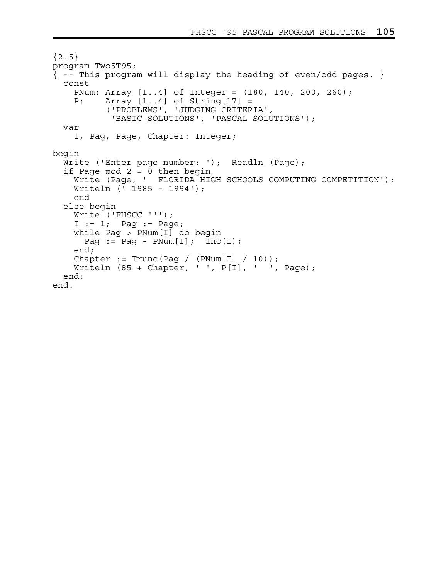```
{2.5}program Two5T95; 
\{ -- This program will display the heading of even/odd pages. \} const 
     PNum: Array [1..4] of Integer = (180, 140, 200, 260); 
     P: Array [1..4] of String[17] = 
           ('PROBLEMS', 'JUDGING CRITERIA', 
            'BASIC SOLUTIONS', 'PASCAL SOLUTIONS'); 
   var 
     I, Pag, Page, Chapter: Integer; 
begin 
  Write ('Enter page number: '); Readln (Page);
  if Page mod 2 = 0 then begin
    Write (Page, ' FLORIDA HIGH SCHOOLS COMPUTING COMPETITION');
     Writeln (' 1985 - 1994'); 
     end 
   else begin 
     Write ('FHSCC '''); 
    I := 1; Pag := Page;
     while Pag > PNum[I] do begin 
      Pag := Pag - PNum[I]; Inc(I);
     end; 
    Chapter := Trunc(Pag / (PNum[I] / 10));Writeln (85 + Chapter, ' ', P[I], ' ', Page); end; 
end.
```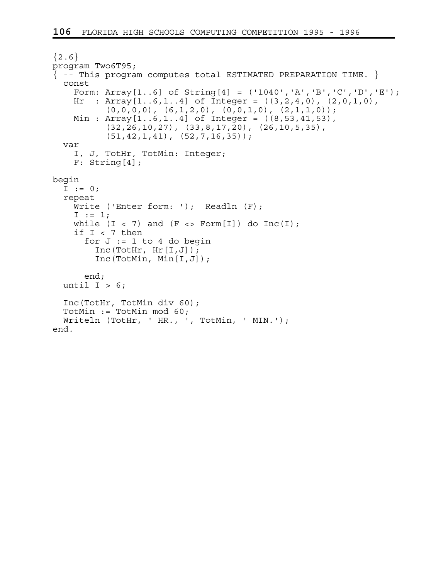```
{2.6}program Two6T95; 
\{ -- This program computes total ESTIMATED PREPARATION TIME. \} const 
     Form: Array[1..6] of String[4] = ('1040','A','B','C','D','E'); 
    Hr : Array [1..6,1..4] of Integer = ((3,2,4,0), (2,0,1,0)),(0,0,0,0), (6,1,2,0), (0,0,1,0), (2,1,1,0);
    Min : Array[1..6,1..4] of Integer = ((8, 53, 41, 53),
            (32,26,10,27), (33,8,17,20), (26,10,5,35), 
           (51, 42, 1, 41), (52, 7, 16, 35);
   var 
     I, J, TotHr, TotMin: Integer; 
     F: String[4]; 
begin 
  I := 0; repeat 
    Write ('Enter form: '); Readln (F);
    I := 1;while (I < 7) and (F < > Form[I]) do Inc(I);
     if I < 7 then 
      for J := 1 to 4 do begin
         Inc(TotHr, Hr[I,J]); 
         Inc(TotMin, Min[I,J]); 
       end; 
  until I > 6;
   Inc(TotHr, TotMin div 60); 
   TotMin := TotMin mod 60; 
  Writeln (TotHr, ' HR., ', TotMin, ' MIN.');
end.
```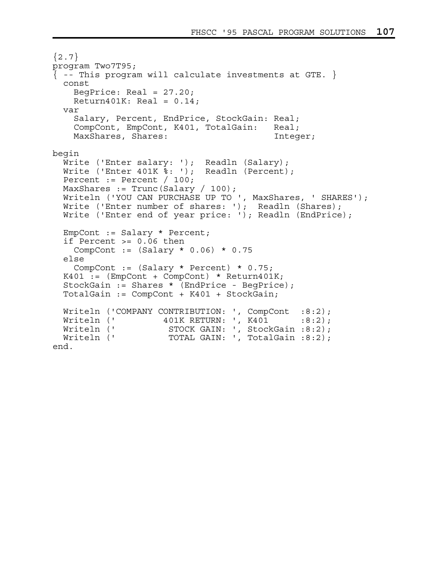```
{2.7}program Two7T95; 
\{ -- This program will calculate investments at GTE. \} const 
    BegPrice: Real = 27.20;
    Return401K: Real = 0.14;
   var 
     Salary, Percent, EndPrice, StockGain: Real; 
     CompCont, EmpCont, K401, TotalGain: Real; 
    MaxShares, Shares: Integer;
begin 
  Write ('Enter salary: '); Readln (Salary);
  Write ('Enter 401K %: '); Readln (Percent);
  Percent := Percent / 100;
   MaxShares := Trunc(Salary / 100); 
   Writeln ('YOU CAN PURCHASE UP TO ', MaxShares, ' SHARES'); 
  Write ('Enter number of shares: '); Readln (Shares);
  Write ('Enter end of year price: '); Readln (EndPrice);
   EmpCont := Salary * Percent; 
   if Percent >= 0.06 then 
    CompCont := (Salary * 0.06) * 0.75 else 
     CompCont := (Salary * Percent) * 0.75; 
   K401 := (EmpCont + CompCont) * Return401K; 
   StockGain := Shares * (EndPrice - BegPrice); 
   TotalGain := CompCont + K401 + StockGain; 
  Writeln ('COMPANY CONTRIBUTION: ', CompCont :8:2);
  Writeln (' 401K RETURN: ', K401 :8:2);<br>Writeln (' STOCK GAIN: ', StockGain :8:2);
Writeln (' STOCK GAIN: ', StockGain :8:2);
 Writeln (' TOTAL GAIN: ', TotalGain :8:2); 
end.
```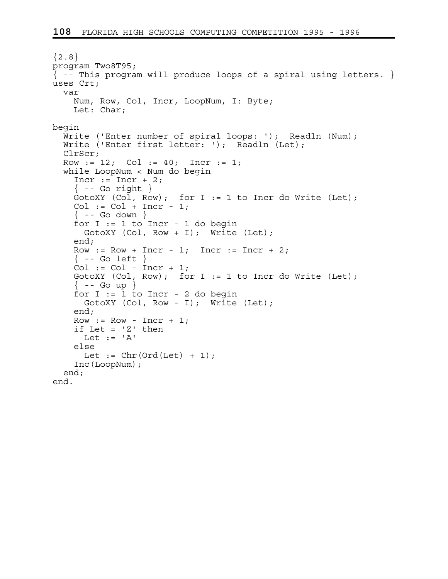```
{2.8}program Two8T95; 
\{ -- This program will produce loops of a spiral using letters. \}uses Crt; 
  var 
     Num, Row, Col, Incr, LoopNum, I: Byte; 
     Let: Char; 
begin 
  Write ('Enter number of spiral loops: '); Readln (Num);
  Write ('Enter first letter: '); Readln (Let);
   ClrScr; 
  Row := 12; Col := 40; Incr := 1; while LoopNum < Num do begin 
    Incr := Incr + 2;\{- - Go right \}GotoXY (Col, Row); for I := 1 to Incr do Write (Let);
    Col := Col + Incr - 1;\{ - - Go down \}for I := 1 to Incr - 1 do begin
      GotoXY (Col, Row + I); Write (Let);
     end; 
    Row := Row + Incr - 1; Incr := Incr + 2;
    \{- - Go left \}Col := Col - Incr + 1; GotoXY (Col, Row); for I := 1 to Incr do Write (Let); 
    \{- - Go up \}for I := 1 to Incr - 2 do begin
       GotoXY (Col, Row - I); Write (Let); 
     end; 
    Row := Row - Incr + 1; if Let = 'Z' then 
     Let := 'A' else 
     Let := Chr(Ord(Let) + 1);
     Inc(LoopNum); 
   end; 
end.
```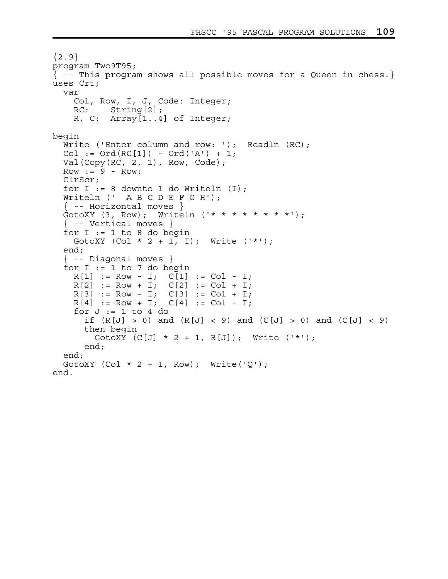```
{2.9}program Two9T95; 
{ -- This program shows all possible moves for a Queen in chess.} 
uses Crt; 
   var 
     Col, Row, I, J, Code: Integer; 
     RC: String[2]; 
     R, C: Array[1..4] of Integer; 
begin 
  Write ('Enter column and row: '); Readln (RC);
  Col := Ord(RC[1]) - Ord('A') + 1;Val(Copy(RC, 2, 1), Row, Code);
  Row := 9 - Row; ClrScr; 
  for I := 8 downto 1 do Writeln (I); Writeln (' A B C D E F G H'); 
  \{ -- Horizontal moves \} GotoXY (3, Row); Writeln ('* * * * * * * *'); 
  \{ - - Vertical moves \}for I := 1 to 8 do begin
    GotoXY (Col * 2 + 1, I); Write ('*);
   end; 
  \{- - Diagonal moves \}for I := 1 to 7 do begin
    R[1] := Row - I; C[1] := Col - I;R[2] := Row + I; C[2] := Col + I;R[3] := Row - I; C[3] := Col + I;R[4] := Row + I; C[4] := Col - I;for J := 1 to 4 do
      if (R[J] > 0) and (R[J] < 9) and (C[J] > 0) and (C[J] < 9) then begin 
        GotoXY (C[J] * 2 + 1, R[J]); Write ('*);
       end; 
   end; 
  GotoXY (Col * 2 + 1, Row); Write(Q');
end.
```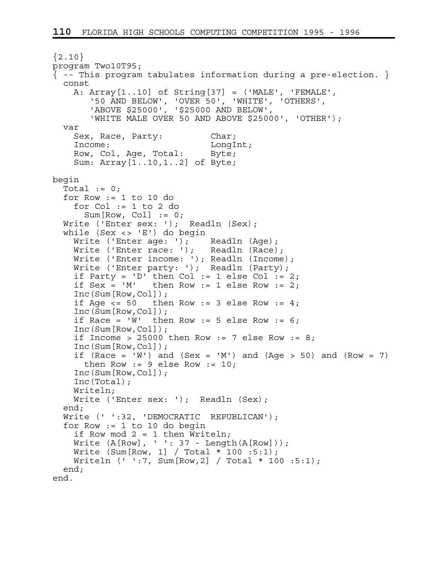```
{2.10}program Two10T95; 
{ -- This program tabulates information during a pre-election. } 
  const 
     A: Array[1..10] of String[37] = ('MALE', 'FEMALE', 
        '50 AND BELOW', 'OVER 50', 'WHITE', 'OTHERS', 
        'ABOVE $25000', '$25000 AND BELOW', 
        'WHITE MALE OVER 50 AND ABOVE $25000', 'OTHER'); 
  var 
     Sex, Race, Party: Char; 
   Income: LongInt;
    Row, Col, Age, Total: Byte; 
     Sum: Array[1..10,1..2] of Byte; 
begin 
 Total := 0; for Row := 1 to 10 do 
     for Col := 1 to 2 do 
     Sum[Row, Col] := 0;Write ('Enter sex: '); Readln (Sex);
   while (Sex <> 'E') do begin 
 Write ('Enter age: '); Readln (Age); 
Write ('Enter race: '); Readln (Race);
   Write ('Enter income: '); Readln (Income);
    Write ('Enter party: '); Readln (Party); 
if Party = 'D' then Col := 1 else Col := 2;
if Sex = 'M' then Row := 1 else Row := 2; Inc(Sum[Row,Col]); 
    if Age \epsilon= 50 then Row := 3 else Row := 4;
     Inc(Sum[Row,Col]); 
    if Race = 'W' then Row := 5 else Row := 6;
     Inc(Sum[Row,Col]); 
    if Income > 25000 then Row := 7 else Row := 8;
     Inc(Sum[Row,Col]); 
    if (Race = W') and (Sex = M') and (Age > 50) and (Row = 7)
     then Row := 9 else Row := 10;
     Inc(Sum[Row,Col]); 
     Inc(Total); 
    Writeln; 
    Write ('Enter sex: '); Readln (Sex);
   end; 
   Write (' ':32, 'DEMOCRATIC REPUBLICAN'); 
   for Row := 1 to 10 do begin 
    if Row mod 2 = 1 then Writeln;
Write (A[Row], ' ': 37 - Length(A[Row]));
 Write (Sum[Row, 1] / Total * 100 :5:1); 
   Writeln (' ':7, Sum[Row,2] / Total * 100 :5:1);
   end; 
end.
```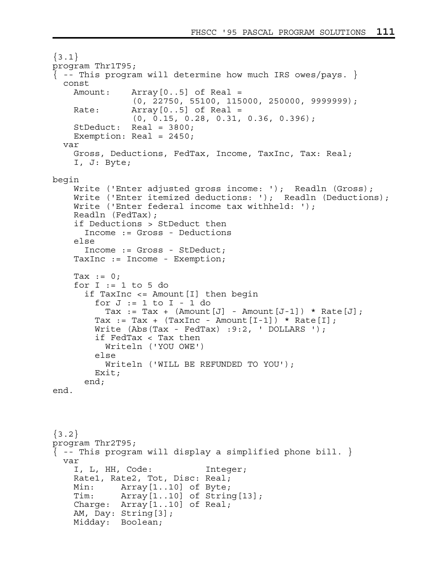```
\{3.1\}program Thr1T95; 
{ -- This program will determine how much IRS owes/pays. } 
   const 
     Amount: Array[0..5] of Real = 
                (0, 22750, 55100, 115000, 250000, 9999999); 
     Rate: Array[0..5] of Real = 
                 (0, 0.15, 0.28, 0.31, 0.36, 0.396); 
     StDeduct: Real = 3800; 
     Exemption: Real = 2450; 
   var 
     Gross, Deductions, FedTax, Income, TaxInc, Tax: Real; 
     I, J: Byte; 
begin 
    Write ('Enter adjusted gross income: '); Readln (Gross);
    Write ('Enter itemized deductions: '); Readln (Deductions);
    Write ('Enter federal income tax withheld: ');
     Readln (FedTax); 
     if Deductions > StDeduct then 
       Income := Gross - Deductions 
     else 
       Income := Gross - StDeduct; 
     TaxInc := Income - Exemption; 
    Tax := 0;for I := 1 to 5 do
       if TaxInc <= Amount[I] then begin 
        for J := 1 to I - 1 do
          Tax := Tax + (Amount [J] - Amount [J-1]) * Rate [J];Tax := Tax + (TaxInc - Amount[I-1]) * Rate[I];Write (Abs(Tax - FedTax) : 9:2, ' DOLLARS');
         if FedTax < Tax then 
           Writeln ('YOU OWE') 
         else 
           Writeln ('WILL BE REFUNDED TO YOU'); 
         Exit; 
       end; 
end. 
\{3.2\}program Thr2T95; 
\{ -- This program will display a simplified phone bill. \} var 
     I, L, HH, Code: Integer; 
     Rate1, Rate2, Tot, Disc: Real; 
     Min: Array[1..10] of Byte; 
     Tim: Array[1..10] of String[13]; 
     Charge: Array[1..10] of Real; 
     AM, Day: String[3]; 
     Midday: Boolean;
```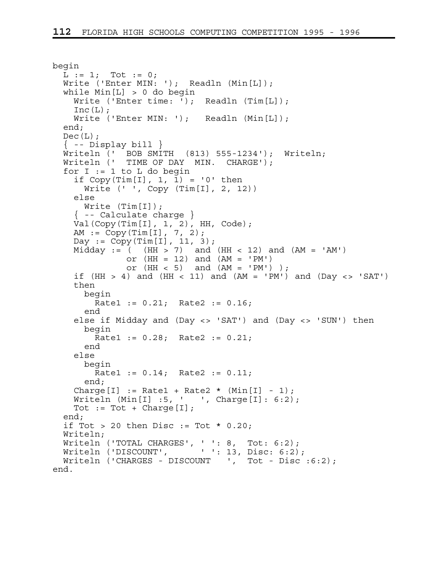```
begin 
 L := 1; Tot := 0;Write ('Enter MIN: '); Readln (Min[L]);
  while Min[L] > 0 do begin 
   Write ('Enter time: '); Readln (Tim[L]);
   Inc(L);
   Write ('Enter MIN: '); Readln (Min[L]);
   end; 
  Dec(L);
  \{- - Display bill \} Writeln (' BOB SMITH (813) 555-1234'); Writeln; 
 Writeln (' TIME OF DAY MIN. CHARGE');
  for I := 1 to L do begin
    if Copy(Tim[I], 1, 1) = '0' then
       Write (' ', Copy (Tim[I], 2, 12)) 
     else 
      Write (Tim[I]); 
     { -- Calculate charge } 
   Val(Copy(Tim[I], 1, 2), HH, Code);AM := Copy(Tim[I], 7, 2);Day := Copy(Tim[I], 11, 3);Midday := ( (HH > 7) and (HH < 12) and (AM = 'AM')or (HH = 12) and (AM = 'PM')or (HH < 5) and (AM = 'PM') );
    if (HH > 4) and (HH < 11) and (AM = 'PM') and (Day < > 'SAT') then 
      begin 
        Rate1 := 0.21; Rate2 := 0.16; 
       end 
     else if Midday and (Day <> 'SAT') and (Day <> 'SUN') then 
       begin 
        Rate1 := 0.28; Rate2 := 0.21; 
       end 
     else 
       begin 
         Rate1 := 0.14; Rate2 := 0.11; 
       end; 
    Charge[I] := Rate1 + Rate2 * (Min[I] - 1);
   Writeln (Min[I] : 5, ' ', Charge[I] : 6:2);Tot := Tot + Charge[I];
   end; 
  if Tot > 20 then Disc := Tot * 0.20;
   Writeln; 
 Writeln ('TOTAL CHARGES', ' ': 8, Tot: 6:2); 
Writeln ('DISCOUNT', ' ': 13, Disc: 6:2);
 Writeln ('CHARGES - DISCOUNT ', Tot - Disc :6:2);
end.
```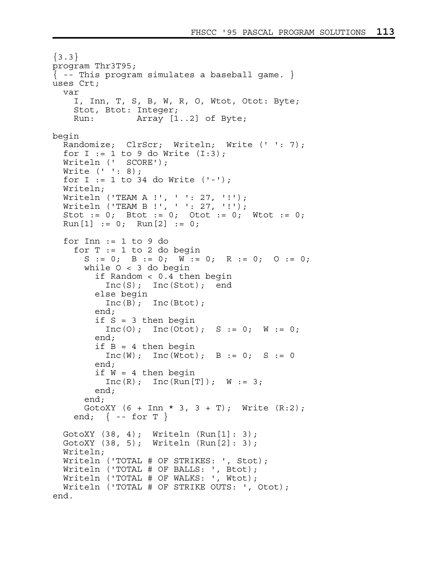```
\{3.3\}program Thr3T95; 
{ -- This program simulates a baseball game. } 
uses Crt; 
   var 
     I, Inn, T, S, B, W, R, O, Wtot, Otot: Byte; 
     Stot, Btot: Integer; 
     Run: Array [1..2] of Byte; 
begin 
  Randomize; ClrScr; Writeln; Write (' ': 7);
  for I := 1 to 9 do Write (I:3);
   Writeln (' SCORE'); 
   Write (' ': 8); 
  for I := 1 to 34 do Write (' - ');
   Writeln; 
   Writeln ('TEAM A !', ' ': 27, '!'); 
  Writeln ('TEAM B !', ' ': 27, '!');
  Stot := 0; Btot := 0; Otot := 0; Wtot := 0;
  Run[1] := 0; Run[2] := 0;for Inn := 1 to 9 do
    for T := 1 to 2 do begin
      S := 0; B := 0; W := 0; R := 0; O := 0;while 0 < 3 do begin
         if Random < 0.4 then begin 
           Inc(S); Inc(Stot); end 
         else begin 
           Inc(B); Inc(Btot); 
         end; 
        if S = 3 then begin
          Inc(0); Inc(Octot); S := 0; W := 0; end; 
        if B = 4 then begin
          Inc(W); Inc(Wtot); B := 0; S := 0 end; 
        if W = 4 then begin
          Inc(R); Inc(Run[T]); W := 3; end; 
       end; 
      GotoXY (6 + Inn * 3, 3 + T); Write (R:2);end; \{ - - for T \} GotoXY (38, 4); Writeln (Run[1]: 3); 
   GotoXY (38, 5); Writeln (Run[2]: 3); 
   Writeln; 
   Writeln ('TOTAL # OF STRIKES: ', Stot); 
   Writeln ('TOTAL # OF BALLS: ', Btot); 
   Writeln ('TOTAL # OF WALKS: ', Wtot); 
   Writeln ('TOTAL # OF STRIKE OUTS: ', Otot); 
end.
```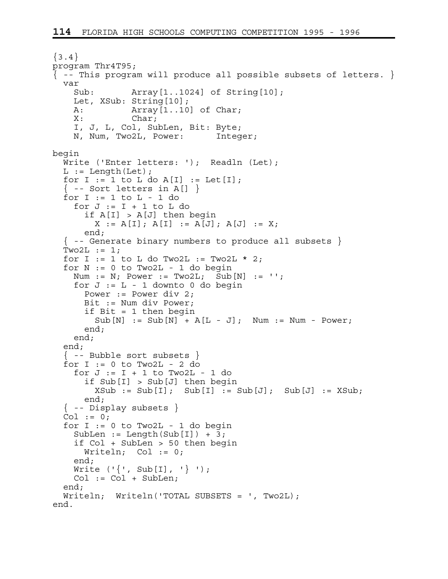```
\{3.4\}program Thr4T95; 
\{ -- This program will produce all possible subsets of letters. \} var 
     Sub: Array[1..1024] of String[10]; 
     Let, XSub: String[10]; 
     A: Array[1..10] of Char; 
     X: Char; 
     I, J, L, Col, SubLen, Bit: Byte; 
     N, Num, Two2L, Power: Integer; 
begin 
 Write ('Enter letters: '); Readln (Let);
 L := Length(Let);
  for I := 1 to L do A[I] := Let[I];\{ -- Sort letters in A[] \}for I := 1 to L - 1 do
    for J := I + 1 to L do
      if A[I] > A[J] then begin
        X := A[I]; A[I] := A[J]; A[J] := X; end; 
  \{ -- Generate binary numbers to produce all subsets \}Two2L := 1;for I := 1 to L do Two2L := Two2L * 2;
  for N := 0 to Two2L - 1 do begin
   Num := N; Power := Two2L; Sub[N] := '';
    for J := L - 1 downto 0 do begin
       Power := Power div 2; 
       Bit := Num div Power; 
      if Bit = 1 then begin
        Sub[N] := Sub[N] + A[L - J]; Num := Num - Power;
       end; 
     end; 
   end; 
  \{ - - Bubble sort subsets \}for I := 0 to Two2L - 2 do
    for J := I + 1 to Two2L - 1 do
       if Sub[I] > Sub[J] then begin 
        XSub := Sub[I]; Sub[I] := Sub[J]; Sub[J] := XSub; end; 
  \{ - - Display subsets \}Col := 0;for I := 0 to Two2L - 1 do begin
    SubLen := Length(Sub[I]) + 3;
     if Col + SubLen > 50 then begin 
       Writeln; Col := 0; 
     end; 
    Write ('{'}, Sub[I], '}'');
     Col := Col + SubLen; 
   end; 
   Writeln; Writeln('TOTAL SUBSETS = ', Two2L); 
end.
```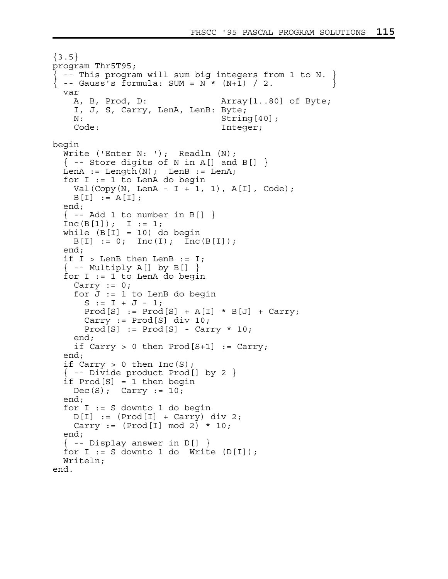```
\{3.5\}program Thr5T95; 
 -- This program will sum big integers from 1 to N.
 - Gauss's formula: SUM = N * (N+1) / 2.
   var 
     A, B, Prod, D: Array[1..80] of Byte; 
     I, J, S, Carry, LenA, LenB: Byte; 
    N: String[40];
     Code: Integer; 
begin 
  Write ('Enter N: '); Readln (N);
  \{ - - Store digits of N in A[] and B[] \}LenA := Length(N); LenB := LenA;
   for I := 1 to LenA do begin 
    Val(Copy(N, LenA - I + 1, 1), A[I], Code);
    B[I] := A[I]; end; 
  \{ - - \text{ Add } 1 \text{ to number in B}[] \}Inc(B[1]); I := 1;while (B[I] = 10) do begin
    B[I] := 0; \text{Inc}(I); \text{Inc}(B[I]); end; 
  if I > LenB then LenB := I;
  \{- - Multiply A[] by B[] \} for I := 1 to LenA do begin 
    Carry := 0;for J := 1 to LenB do begin
      S := I + J - 1;Prod[S] := Prod[S] + A[I] * B[J] + Carry; Carry := Prod[S] div 10; 
      Prod[S] := Prod[S] - Carry * 10; end; 
    if Carry > 0 then Prod[S+1] := Carry;
   end; 
  if Carry > 0 then Inc(S);
  \{ -- Divide product Prod[] by 2 \} if Prod[S] = 1 then begin 
    Dec(S); Carry := 10;
   end; 
   for I := S downto 1 do begin 
    D[I] := (Prod[I] + Carry) div 2;Carry := (Prod[I] mod 2) * 10; end; 
  \{ -- Display answer in D[] \{for I := S downto 1 do Write (D[I]);
   Writeln; 
end.
```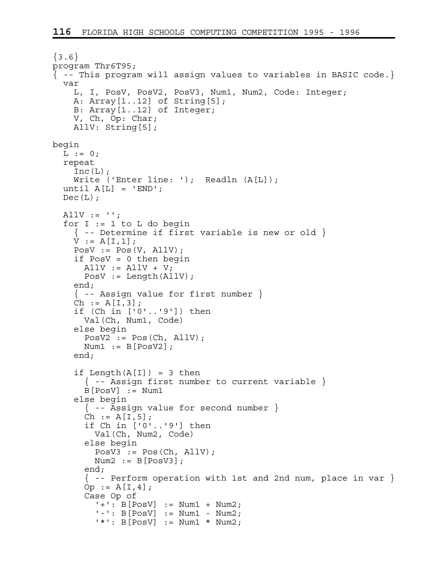```
\{3.6\}program Thr6T95; 
{ -- This program will assign values to variables in BASIC code.} 
   var 
     L, I, PosV, PosV2, PosV3, Num1, Num2, Code: Integer; 
     A: Array[1..12] of String[5]; 
     B: Array[1..12] of Integer; 
     V, Ch, Op: Char; 
     AllV: String[5]; 
begin 
  L := 0; repeat 
    Inc(L);Write ('Enter line: '); Readln (A[L]);
  until A[L] = 'END';Dec(L);
  AllV := ';
  for I := 1 to L do begin
    \{ - - Determine if first variable is new or old \}V := A[I, 1]; PosV := Pos(V, AllV); 
     if PosV = 0 then begin 
      AllV := AllV + V;
       PosV := Length(AllV); 
     end; 
    \{ - - Assign value for first number \}Ch := A[I, 3]; if (Ch in ['0'..'9']) then 
       Val(Ch, Num1, Code) 
     else begin 
       PosV2 := Pos(Ch, AllV); 
      Num1 := B[PosV2]; end; 
    if Length(A[I]) = 3 then { -- Assign first number to current variable } 
       B[PosV] := Num1 
     else begin 
      \{- - Assign value for second number \}Ch := A[I, 5]; if Ch in ['0'..'9'] then 
         Val(Ch, Num2, Code) 
       else begin 
        Poss := Pos(Ch, AllV);Num2 := B[PosV3];
       end; 
       { -- Perform operation with 1st and 2nd num, place in var } 
      Op := A[I, 4]; Case Op of 
        ' + ' : B [PosV] := Num1 + Num2;
        '-': B[PosV] := Num1 - Num2; '*': B[PosV] := Num1 * Num2;
```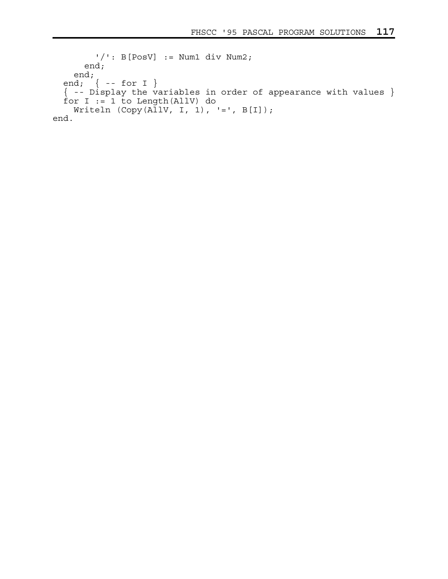```
 '/': B[PosV] := Num1 div Num2; 
       end; 
     end; 
 end; { -- for I } 
 { -- Display the variables in order of appearance with values } 
  for I := I to Length(AllV) do
   Writeln (Copy(AIIV, I, 1), '=', B[I]);end.
```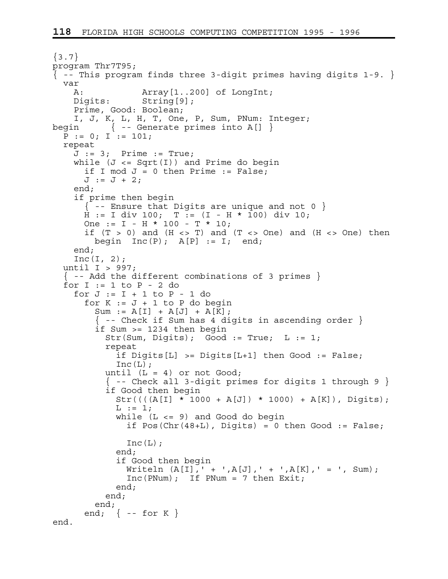```
\{3.7\}program Thr7T95; 
\{ -- This program finds three 3-digit primes having digits 1-9. \} var 
    A: Array [1..200] of LongInt;
     Digits: String[9]; 
     Prime, Good: Boolean; 
     I, J, K, L, H, T, One, P, Sum, PNum: Integer; 
begin { -- Generate primes into A[] } 
  P := 0; I := 101; repeat 
    J := 3; Prime := True;
    while (J \leq Sqrt(I)) and Prime do begin
      if I mod J = 0 then Prime := False;
      J := J + 2; end; 
     if prime then begin 
      \{-- Ensure that Digits are unique and not 0 \}H := I div 100; T := (I - H * 100) div 10;One := I - H * 100 - T * 10;
      if (T > 0) and (H \leq T) and (T \leq T) and (H \leq T) and (T \leq T)begin Inc(P); A[P] := I; end;
     end; 
    Inc(I, 2);
   until I > 997; 
  \{ -- Add the different combinations of 3 primes \}for I := 1 to P - 2 do
    for J := I + 1 to P - 1 do
      for K := J + 1 to P do begin
        Sum := A[I] + A[J] + A[K];\{ -- Check if Sum has 4 digits in ascending order \} if Sum >= 1234 then begin 
          Str(Sum, Digits); Good := True; L := 1; repeat 
            if Digits[L] >= Digits[L+1] then Good := False;
            Inc(L);
          until (L = 4) or not Good;
           { -- Check all 3-digit primes for digits 1 through 9 } 
           if Good then begin 
            Str((((A[I] * 1000 + A[J]) * 1000) + A[K]), Digits);
            L := 1;while (L \leq 9) and Good do begin
              if Pos(Chr(48+L), Digits) = 0 then Good := False;
              Inc(L);
             end; 
             if Good then begin 
              Writeln (A[I], ' + ', A[J], ' + ', A[K], ' = ', Sum);Inc(PNum); If PNum = 7 then Exit; end; 
           end; 
         end; 
      end; \{ - - for K \}end.
```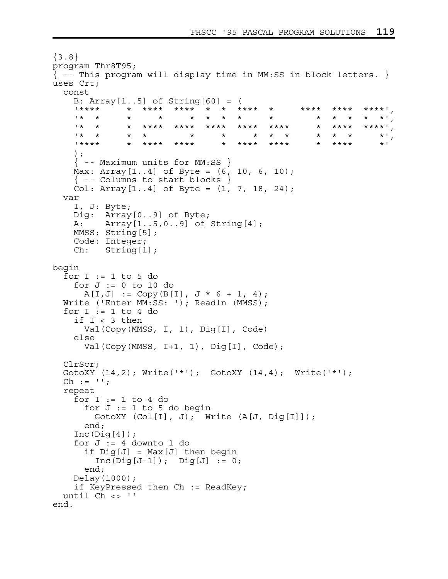```
\{3.8\}program Thr8T95; 
\{ -- This program will display time in MM:SS in block letters. \}uses Crt; 
   const 
    B: Array[1..5] of String[60] = ( 
 '**** * **** **** * * **** * **** **** ****', 
 '* * * * * * * * * * * * * *', 
 '* * * **** **** **** **** **** * **** ****', 
 '* * * * * * * * * * * * *', 
 '**** * **** **** * **** **** * **** *' 
    ); 
    \{ - - Maximum units for MM:SS \} Max: Array[1..4] of Byte = (6, 10, 6, 10); 
     { -- Columns to start blocks } 
    Col: Array[1..4] of Byte = (1, 7, 18, 24); 
   var 
    I, J: Byte; 
    Dig: Array[0..9] of Byte; 
    A: Array[1..5,0..9] of String[4]; 
    MMSS: String[5]; 
    Code: Integer; 
    Ch: String[1]; 
begin 
  for I := 1 to 5 do
   for J := 0 to 10 do
     A[I,J] := Copy(B[I], J * 6 + 1, 4);Write ('Enter MM:SS: '); Readln (MMSS);
  for I := 1 to 4 do
     if I < 3 then 
      Val(Copy(MMSS, I, 1), Dig[I], Code) 
    else 
     Val(Copy(MMSS, I+1, 1), Diq[I], Code);
   ClrScr; 
  GotoXY (14, 2); Write('*'); GotoXY (14, 4); Write('*');
  Ch := '': repeat 
   for I := 1 to 4 do
     for J := 1 to 5 do begin
        GotoXY (Col[I], J); Write (A[J, Dig[I]]); 
      end; 
   Inc(Diq[4]);
    for J := 4 downto 1 do
     if Diq[J] = Max[J] then begin
       Inc(Diq[J-1]); Diq[J] := 0; end; 
    Delay(1000); 
    if KeyPressed then Ch := ReadKey; 
  until Ch \leqslant ''
end.
```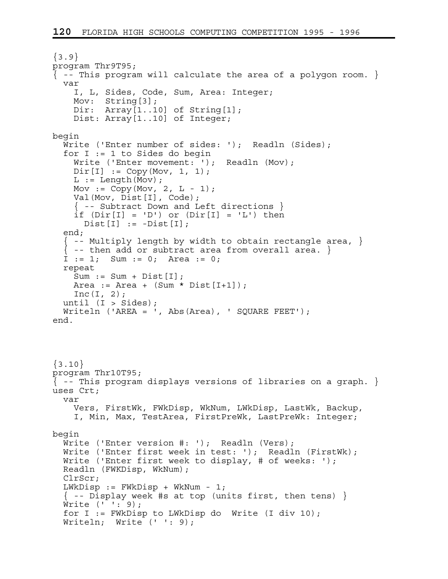```
{3.9}program Thr9T95; 
\{ -- This program will calculate the area of a polygon room. \} var 
     I, L, Sides, Code, Sum, Area: Integer; 
     Mov: String[3]; 
     Dir: Array[1..10] of String[1]; 
     Dist: Array[1..10] of Integer; 
begin 
  Write ('Enter number of sides: '); Readln (Sides);
   for I := 1 to Sides do begin 
    Write ('Enter movement: '); Readln (Mov);
    Dir[I] := Copy(Mov, 1, 1);L := Length(Mov);
    Mov := Copy (Mov, 2, L - 1); Val(Mov, Dist[I], Code); 
     { -- Subtract Down and Left directions } 
if (Dir[I] = 'D') or (Dir[I] = 'L') then
 Dist[I] := -Dist[I]; 
   end; 
  \{ -- Multiply length by width to obtain rectangle area, \}- then add or subtract area from overall area. \}I := 1; Sum := 0; Area := 0;
   repeat 
    Sum := Sum + Dist[I];Area := Area + (Sum * Dist[I+1]);
   Inc(I, 2);
  until (I > Sides);
  Writeln ('AREA = ', Abs(Area), ' SQUARE FEET');
end. 
\{3.10\}program Thr10T95; 
{ -- This program displays versions of libraries on a graph. } 
uses Crt; 
   var 
     Vers, FirstWk, FWkDisp, WkNum, LWkDisp, LastWk, Backup, 
     I, Min, Max, TestArea, FirstPreWk, LastPreWk: Integer; 
begin 
  Write ('Enter version #: '); Readln (Vers);
  Write ('Enter first week in test: '); Readln (FirstWk);
  Write ('Enter first week to display, # of weeks: ');
   Readln (FWKDisp, WkNum); 
   ClrScr; 
   LWkDisp := FWkDisp + WkNum - 1; 
  \{-- Display week #s at top (units first, then tens) }
   Write (' ': 9); 
   for I := FWkDisp to LWkDisp do Write (I div 10); 
  Writeln; Write (' ': 9);
```